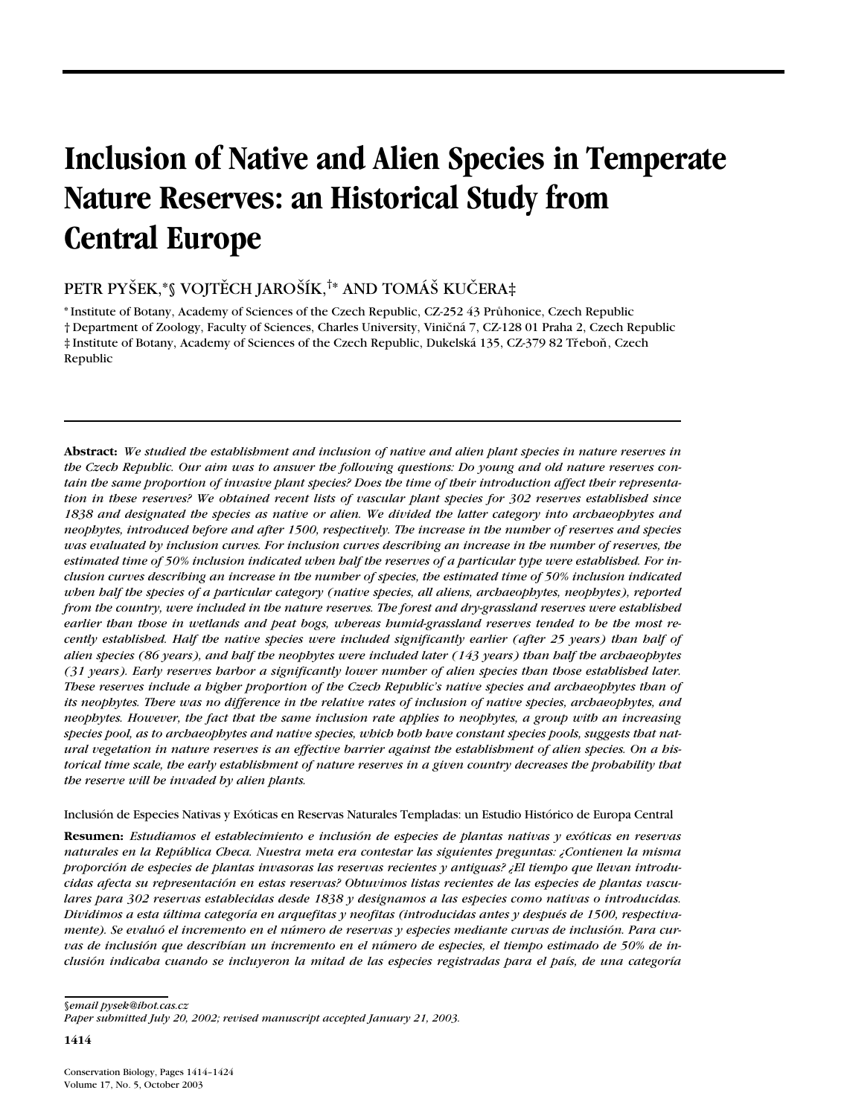# **Inclusion of Native and Alien Species in Temperate Nature Reserves: an Historical Study from Central Europe**

## PETR PYŠEK,\*§ VOJTĚCH JAROŠÍK,<sup>†</sup>\* AND TOMÁŠ KUČERA‡

\* Institute of Botany, Academy of Sciences of the Czech Republic, CZ-252 43 Průhonice, Czech Republic † Department of Zoology, Faculty of Sciences, Charles University, Viničná 7, CZ-128 01 Praha 2, Czech Republic ‡ Institute of Botany, Academy of Sciences of the Czech Republic, Dukelská 135, CZ-379 82 Třeboň, Czech Republic

**Abstract:** *We studied the establishment and inclusion of native and alien plant species in nature reserves in the Czech Republic. Our aim was to answer the following questions: Do young and old nature reserves contain the same proportion of invasive plant species? Does the time of their introduction affect their representation in these reserves? We obtained recent lists of vascular plant species for 302 reserves established since 1838 and designated the species as native or alien. We divided the latter category into archaeophytes and neophytes, introduced before and after 1500, respectively. The increase in the number of reserves and species was evaluated by inclusion curves. For inclusion curves describing an increase in the number of reserves, the estimated time of 50% inclusion indicated when half the reserves of a particular type were established. For inclusion curves describing an increase in the number of species, the estimated time of 50% inclusion indicated when half the species of a particular category (native species, all aliens, archaeophytes, neophytes), reported from the country, were included in the nature reserves. The forest and dry-grassland reserves were established earlier than those in wetlands and peat bogs, whereas humid-grassland reserves tended to be the most recently established. Half the native species were included significantly earlier (after 25 years) than half of alien species (86 years), and half the neophytes were included later (143 years) than half the archaeophytes (31 years). Early reserves harbor a significantly lower number of alien species than those established later. These reserves include a higher proportion of the Czech Republic's native species and archaeophytes than of its neophytes. There was no difference in the relative rates of inclusion of native species, archaeophytes, and neophytes. However, the fact that the same inclusion rate applies to neophytes, a group with an increasing species pool, as to archaeophytes and native species, which both have constant species pools, suggests that natural vegetation in nature reserves is an effective barrier against the establishment of alien species. On a historical time scale, the early establishment of nature reserves in a given country decreases the probability that the reserve will be invaded by alien plants.*

Inclusión de Especies Nativas y Exóticas en Reservas Naturales Templadas: un Estudio Histórico de Europa Central

**Resumen:** *Estudiamos el establecimiento e inclusión de especies de plantas nativas y exóticas en reservas naturales en la República Checa. Nuestra meta era contestar las siguientes preguntas: ¿Contienen la misma proporción de especies de plantas invasoras las reservas recientes y antiguas? ¿El tiempo que llevan introducidas afecta su representación en estas reservas? Obtuvimos listas recientes de las especies de plantas vasculares para 302 reservas establecidas desde 1838 y designamos a las especies como nativas o introducidas. Dividimos a esta última categoría en arquefitas y neofitas (introducidas antes y después de 1500, respectivamente). Se evaluó el incremento en el número de reservas y especies mediante curvas de inclusión. Para curvas de inclusión que describían un incremento en el número de especies, el tiempo estimado de 50% de inclusión indicaba cuando se incluyeron la mitad de las especies registradas para el país, de una categoría*

§*email pysek@ibot.cas.cz*

*Paper submitted July 20, 2002; revised manuscript accepted January 21, 2003.*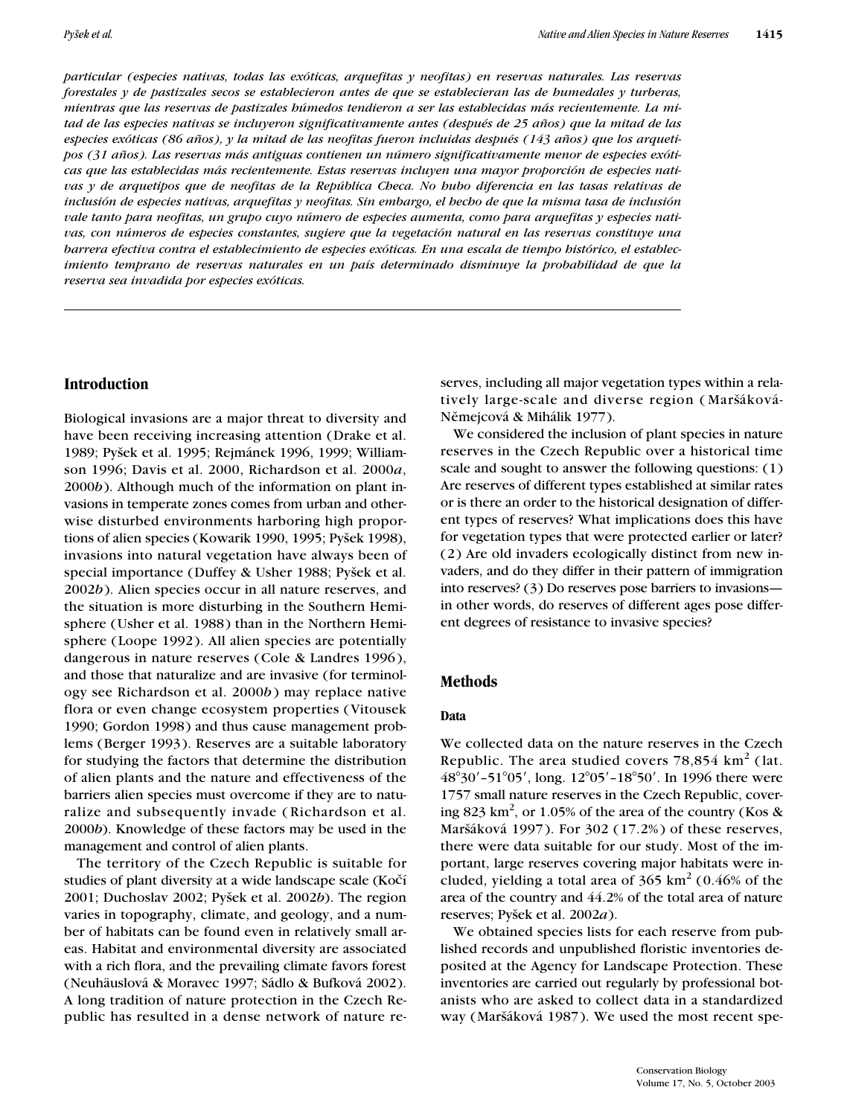*particular (especies nativas, todas las exóticas, arquefitas y neofitas) en reservas naturales. Las reservas forestales y de pastizales secos se establecieron antes de que se establecieran las de humedales y turberas, mientras que las reservas de pastizales húmedos tendieron a ser las establecidas más recientemente. La mitad de las especies nativas se incluyeron significativamente antes (después de 25 años) que la mitad de las especies exóticas (86 años), y la mitad de las neofitas fueron incluidas después (143 años) que los arquetipos (31 años). Las reservas más antiguas contienen un número significativamente menor de especies exóticas que las establecidas más recientemente. Estas reservas incluyen una mayor proporción de especies nativas y de arquetipos que de neofitas de la República Checa. No hubo diferencia en las tasas relativas de inclusión de especies nativas, arquefitas y neofitas. Sin embargo, el hecho de que la misma tasa de inclusión vale tanto para neofitas, un grupo cuyo número de especies aumenta, como para arquefitas y especies nativas, con números de especies constantes, sugiere que la vegetación natural en las reservas constituye una barrera efectiva contra el establecimiento de especies exóticas. En una escala de tiempo histórico, el establecimiento temprano de reservas naturales en un país determinado disminuye la probabilidad de que la reserva sea invadida por especies exóticas.*

## **Introduction**

Biological invasions are a major threat to diversity and have been receiving increasing attention (Drake et al. 1989; Pyšek et al. 1995; Rejmánek 1996, 1999; Williamson 1996; Davis et al. 2000, Richardson et al. 2000*a*, 2000*b*). Although much of the information on plant invasions in temperate zones comes from urban and otherwise disturbed environments harboring high proportions of alien species (Kowarik 1990, 1995; Pyšek 1998), invasions into natural vegetation have always been of special importance (Duffey & Usher 1988; Pyšek et al. 2002*b*). Alien species occur in all nature reserves, and the situation is more disturbing in the Southern Hemisphere (Usher et al. 1988) than in the Northern Hemisphere (Loope 1992). All alien species are potentially dangerous in nature reserves (Cole & Landres 1996), and those that naturalize and are invasive (for terminology see Richardson et al. 2000*b* ) may replace native flora or even change ecosystem properties (Vitousek 1990; Gordon 1998) and thus cause management problems (Berger 1993). Reserves are a suitable laboratory for studying the factors that determine the distribution of alien plants and the nature and effectiveness of the barriers alien species must overcome if they are to naturalize and subsequently invade ( Richardson et al. 2000*b*). Knowledge of these factors may be used in the management and control of alien plants.

The territory of the Czech Republic is suitable for studies of plant diversity at a wide landscape scale (Kočí 2001; Duchoslav 2002; Pyšek et al. 2002b). The region varies in topography, climate, and geology, and a number of habitats can be found even in relatively small areas. Habitat and environmental diversity are associated with a rich flora, and the prevailing climate favors forest (Neuhäuslová & Moravec 1997; Sádlo & Bufková 2002). A long tradition of nature protection in the Czech Republic has resulted in a dense network of nature reserves, including all major vegetation types within a relatively large-scale and diverse region (Maršáková-Němejcová & Mihálik 1977).

We considered the inclusion of plant species in nature reserves in the Czech Republic over a historical time scale and sought to answer the following questions: (1) Are reserves of different types established at similar rates or is there an order to the historical designation of different types of reserves? What implications does this have for vegetation types that were protected earlier or later? (2) Are old invaders ecologically distinct from new invaders, and do they differ in their pattern of immigration into reserves? (3) Do reserves pose barriers to invasions in other words, do reserves of different ages pose different degrees of resistance to invasive species?

## **Methods**

## **Data**

We collected data on the nature reserves in the Czech Republic. The area studied covers  $78,854 \text{ km}^2$  (lat. 48°30′-51°05′, long. 12°05′-18°50′. In 1996 there were 1757 small nature reserves in the Czech Republic, covering 823 km<sup>2</sup>, or 1.05% of the area of the country (Kos & Maršáková 1997). For 302 (17.2%) of these reserves, there were data suitable for our study. Most of the important, large reserves covering major habitats were included, yielding a total area of  $365 \text{ km}^2$  (0.46% of the area of the country and 44.2% of the total area of nature reserves; Pyšek et al. 2002*a*).

We obtained species lists for each reserve from published records and unpublished floristic inventories deposited at the Agency for Landscape Protection. These inventories are carried out regularly by professional botanists who are asked to collect data in a standardized way (Maršáková 1987). We used the most recent spe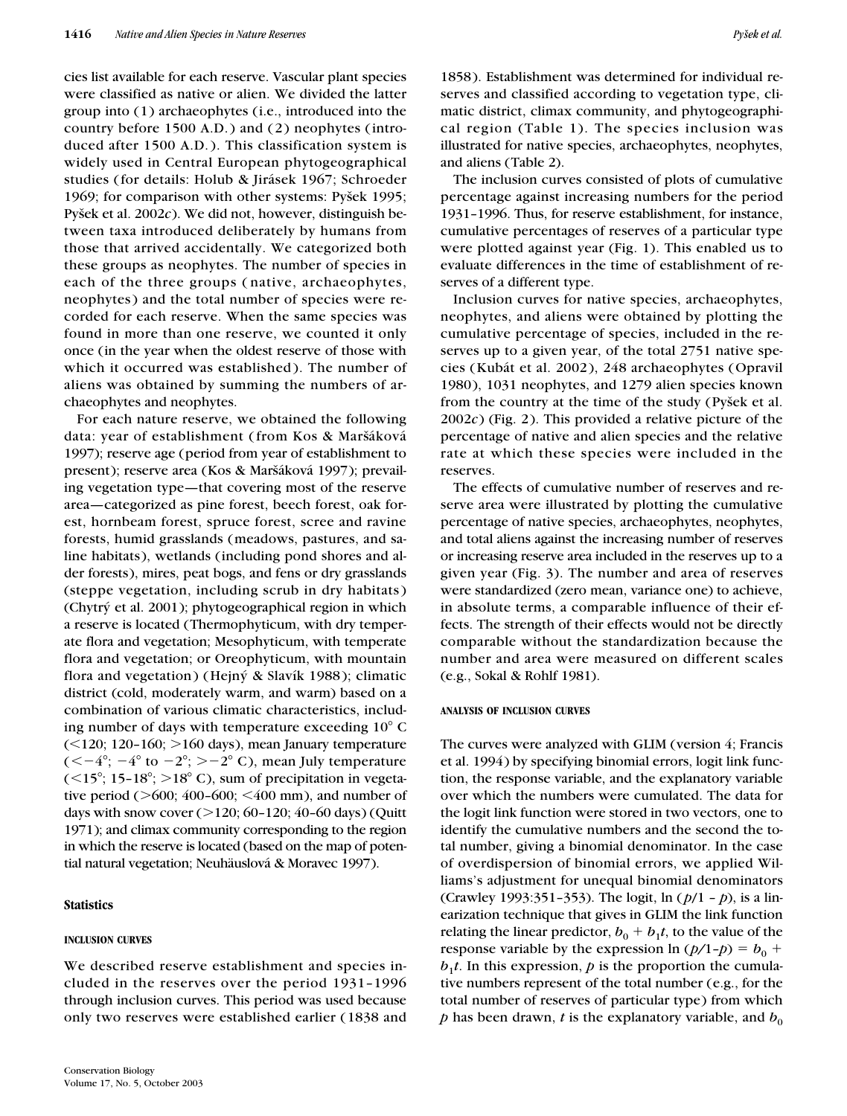cies list available for each reserve. Vascular plant species were classified as native or alien. We divided the latter group into (1) archaeophytes (i.e., introduced into the country before 1500 A.D.) and (2) neophytes (introduced after 1500 A.D.). This classification system is widely used in Central European phytogeographical studies (for details: Holub & Jirásek 1967; Schroeder 1969; for comparison with other systems: Pyšek 1995; Pyšek et al. 2002*c*). We did not, however, distinguish between taxa introduced deliberately by humans from those that arrived accidentally. We categorized both these groups as neophytes. The number of species in each of the three groups ( native, archaeophytes, neophytes) and the total number of species were recorded for each reserve. When the same species was found in more than one reserve, we counted it only once (in the year when the oldest reserve of those with which it occurred was established). The number of aliens was obtained by summing the numbers of archaeophytes and neophytes.

For each nature reserve, we obtained the following data: year of establishment (from Kos & Maršáková 1997); reserve age (period from year of establishment to present); reserve area (Kos & Maršáková 1997); prevailing vegetation type—that covering most of the reserve area—categorized as pine forest, beech forest, oak forest, hornbeam forest, spruce forest, scree and ravine forests, humid grasslands (meadows, pastures, and saline habitats), wetlands (including pond shores and alder forests), mires, peat bogs, and fens or dry grasslands (steppe vegetation, including scrub in dry habitats) (Chytrý et al. 2001); phytogeographical region in which a reserve is located (Thermophyticum, with dry temperate flora and vegetation; Mesophyticum, with temperate flora and vegetation; or Oreophyticum, with mountain flora and vegetation) (Hejný & Slavík 1988); climatic district (cold, moderately warm, and warm) based on a combination of various climatic characteristics, including number of days with temperature exceeding  $10^{\circ}$  C  $(<$ 120; 120–160;  $>$ 160 days), mean January temperature  $(< -4^{\circ}; -4^{\circ}$  to  $-2^{\circ}; \ge -2^{\circ}$  C), mean July temperature  $(<15^{\circ}; 15-18^{\circ}; >18^{\circ}$  C), sum of precipitation in vegetative period ( $>600$ ; 400–600;  $\leq 400$  mm), and number of days with snow cover  $(>120; 60-120; 40-60$  days) (Quitt 1971); and climax community corresponding to the region in which the reserve is located (based on the map of potential natural vegetation; Neuhäuslová & Moravec 1997).

### **Statistics**

#### **INCLUSION CURVES**

We described reserve establishment and species included in the reserves over the period 1931–1996 through inclusion curves. This period was used because only two reserves were established earlier (1838 and

1858). Establishment was determined for individual reserves and classified according to vegetation type, climatic district, climax community, and phytogeographical region (Table 1). The species inclusion was illustrated for native species, archaeophytes, neophytes, and aliens (Table 2).

The inclusion curves consisted of plots of cumulative percentage against increasing numbers for the period 1931–1996. Thus, for reserve establishment, for instance, cumulative percentages of reserves of a particular type were plotted against year (Fig. 1). This enabled us to evaluate differences in the time of establishment of reserves of a different type.

Inclusion curves for native species, archaeophytes, neophytes, and aliens were obtained by plotting the cumulative percentage of species, included in the reserves up to a given year, of the total 2751 native species (Kubát et al. 2002), 248 archaeophytes (Opravil 1980), 1031 neophytes, and 1279 alien species known from the country at the time of the study (Pyšek et al. 2002*c* ) (Fig. 2). This provided a relative picture of the percentage of native and alien species and the relative rate at which these species were included in the reserves.

The effects of cumulative number of reserves and reserve area were illustrated by plotting the cumulative percentage of native species, archaeophytes, neophytes, and total aliens against the increasing number of reserves or increasing reserve area included in the reserves up to a given year (Fig. 3). The number and area of reserves were standardized (zero mean, variance one) to achieve, in absolute terms, a comparable influence of their effects. The strength of their effects would not be directly comparable without the standardization because the number and area were measured on different scales (e.g., Sokal & Rohlf 1981).

#### **ANALYSIS OF INCLUSION CURVES**

The curves were analyzed with GLIM (version 4; Francis et al. 1994) by specifying binomial errors, logit link function, the response variable, and the explanatory variable over which the numbers were cumulated. The data for the logit link function were stored in two vectors, one to identify the cumulative numbers and the second the total number, giving a binomial denominator. In the case of overdispersion of binomial errors, we applied Williams's adjustment for unequal binomial denominators (Crawley 1993:351–353). The logit, ln ( *p*/1 – *p*), is a linearization technique that gives in GLIM the link function relating the linear predictor,  $b_0 + b_1 t$ , to the value of the response variable by the expression ln  $(p/1-p) = b_0 +$  $b_1t$ . In this expression, *p* is the proportion the cumulative numbers represent of the total number (e.g., for the total number of reserves of particular type) from which *p* has been drawn, *t* is the explanatory variable, and  $b_0$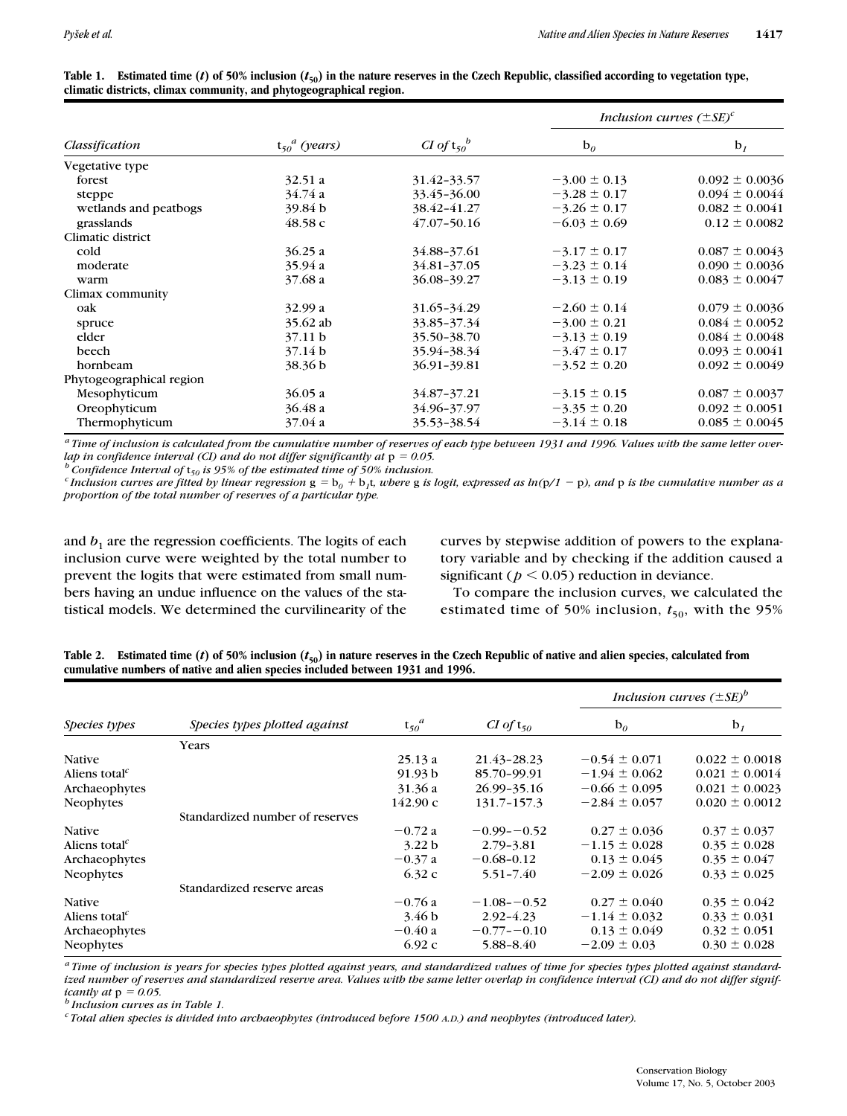|                          | $t_{50}$ <sup>a</sup> (years) |                             | Inclusion curves $(\pm SE)^c$ |                    |  |
|--------------------------|-------------------------------|-----------------------------|-------------------------------|--------------------|--|
| Classification           |                               | CI of $t_{50}$ <sup>b</sup> | $b_0$                         | $b_I$              |  |
| Vegetative type          |                               |                             |                               |                    |  |
| forest                   | 32.51a                        | 31.42-33.57                 | $-3.00 \pm 0.13$              | $0.092 \pm 0.0036$ |  |
| steppe                   | 34.74a                        | 33.45-36.00                 | $-3.28 \pm 0.17$              | $0.094 \pm 0.0044$ |  |
| wetlands and peatbogs    | 39.84 b                       | 38.42-41.27                 | $-3.26 \pm 0.17$              | $0.082 \pm 0.0041$ |  |
| grasslands               | 48.58c                        | $47.07 - 50.16$             | $-6.03 \pm 0.69$              | $0.12 \pm 0.0082$  |  |
| Climatic district        |                               |                             |                               |                    |  |
| cold                     | 36.25a                        | 34.88-37.61                 | $-3.17 \pm 0.17$              | $0.087 \pm 0.0043$ |  |
| moderate                 | 35.94 a                       | 34.81-37.05                 | $-3.23 \pm 0.14$              | $0.090 \pm 0.0036$ |  |
| warm                     | 37.68a                        | 36.08-39.27                 | $-3.13 \pm 0.19$              | $0.083 \pm 0.0047$ |  |
| Climax community         |                               |                             |                               |                    |  |
| oak                      | 32.99 a                       | 31.65-34.29                 | $-2.60 \pm 0.14$              | $0.079 \pm 0.0036$ |  |
| spruce                   | $35.62$ ab                    | 33.85-37.34                 | $-3.00 \pm 0.21$              | $0.084 \pm 0.0052$ |  |
| elder                    | 37.11 b                       | 35.50-38.70                 | $-3.13 \pm 0.19$              | $0.084 \pm 0.0048$ |  |
| beech                    | 37.14 b                       | 35.94-38.34                 | $-3.47 \pm 0.17$              | $0.093 \pm 0.0041$ |  |
| hornbeam                 | 38.36 <sub>b</sub>            | 36.91-39.81                 | $-3.52 \pm 0.20$              | $0.092 \pm 0.0049$ |  |
| Phytogeographical region |                               |                             |                               |                    |  |
| Mesophyticum             | 36.05a                        | 34.87-37.21                 | $-3.15 \pm 0.15$              | $0.087 \pm 0.0037$ |  |
| Oreophyticum             | 36.48 a                       | 34.96-37.97                 | $-3.35 \pm 0.20$              | $0.092 \pm 0.0051$ |  |
| Thermophyticum           | 37.04 a                       | 35.53-38.54                 | $-3.14 \pm 0.18$              | $0.085 \pm 0.0045$ |  |

| Table 1. Estimated time (t) of 50% inclusion $(t_{50})$ in the nature reserves in the Czech Republic, classified according to vegetation type, |  |
|------------------------------------------------------------------------------------------------------------------------------------------------|--|
| climatic districts, climax community, and phytogeographical region.                                                                            |  |

<sup>*a*</sup> *Time of inclusion is calculated from the cumulative number of reserves of each type between 1931 and 1996. Values with the same letter over-*<br>*lap in confidence interval (CI) and do not differ significantly at*  $p =$ 

 $^b$ Confidence Interval of t<sub>50</sub> is 95% of tbe estimated time of 50% inclusion.<br><sup>c</sup>Inclusion curves are fitted by linear regression g = b<sub>0</sub> + b<sub>1</sub>t, wbere g is logit, expressed as ln(p/1 – p), and p is tbe cumulative num *proportion of the total number of reserves of a particular type.*

and  $b_1$  are the regression coefficients. The logits of each inclusion curve were weighted by the total number to prevent the logits that were estimated from small numbers having an undue influence on the values of the statistical models. We determined the curvilinearity of the

curves by stepwise addition of powers to the explanatory variable and by checking if the addition caused a significant ( $p < 0.05$ ) reduction in deviance.

To compare the inclusion curves, we calculated the estimated time of 50% inclusion,  $t_{50}$ , with the 95%

| Table 2. Estimated time ( <i>t</i> ) of 50% inclusion ( $t_{50}$ ) in nature reserves in the Czech Republic of native and alien species, calculated from |  |
|----------------------------------------------------------------------------------------------------------------------------------------------------------|--|
| cumulative numbers of native and alien species included between 1931 and 1996.                                                                           |  |
|                                                                                                                                                          |  |

|                                               | Species types plotted against   |                         |                 | Inclusion curves $(\pm SE)^b$ |                    |
|-----------------------------------------------|---------------------------------|-------------------------|-----------------|-------------------------------|--------------------|
| Species types                                 |                                 | $t_{50}^{\phantom{5}a}$ | CI of $t_{50}$  | $b_0$                         | b <sub>I</sub>     |
|                                               | Years                           |                         |                 |                               |                    |
| <b>Native</b>                                 |                                 | 25.13a                  | 21.43-28.23     | $-0.54 \pm 0.071$             | $0.022 \pm 0.0018$ |
| Aliens total <sup><math>c</math></sup>        |                                 | 91.93 b                 | 85.70-99.91     | $-1.94 \pm 0.062$             | $0.021 \pm 0.0014$ |
| Archaeophytes                                 |                                 | 31.36 a                 | 26.99-35.16     | $-0.66 \pm 0.095$             | $0.021 \pm 0.0023$ |
| <b>Neophytes</b>                              |                                 | 142.90c                 | 131.7-157.3     | $-2.84 \pm 0.057$             | $0.020 \pm 0.0012$ |
|                                               | Standardized number of reserves |                         |                 |                               |                    |
| <b>Native</b>                                 |                                 | $-0.72a$                | $-0.99 - 0.52$  | $0.27 \pm 0.036$              | $0.37 \pm 0.037$   |
| Aliens total <sup><math>c</math></sup>        |                                 | 3.22 <sub>b</sub>       | $2.79 - 3.81$   | $-1.15 \pm 0.028$             | $0.35 \pm 0.028$   |
| Archaeophytes                                 |                                 | $-0.37 a$               | $-0.68 - 0.12$  | $0.13 \pm 0.045$              | $0.35 \pm 0.047$   |
| <b>Neophytes</b>                              |                                 | 6.32c                   | $5.51 - 7.40$   | $-2.09 \pm 0.026$             | $0.33 \pm 0.025$   |
|                                               | Standardized reserve areas      |                         |                 |                               |                    |
| <b>Native</b>                                 |                                 | $-0.76a$                | $-1.08 - -0.52$ | $0.27 \pm 0.040$              | $0.35 \pm 0.042$   |
| Aliens total <sup><math>\epsilon</math></sup> |                                 | 3.46 <sub>b</sub>       | $2.92 - 4.23$   | $-1.14 \pm 0.032$             | $0.33 \pm 0.031$   |
| Archaeophytes                                 |                                 | $-0.40a$                | $-0.77 - -0.10$ | $0.13 \pm 0.049$              | $0.32 \pm 0.051$   |
| <b>Neophytes</b>                              |                                 | 6.92c                   | $5.88 - 8.40$   | $-2.09 \pm 0.03$              | $0.30 \pm 0.028$   |

*<sup>a</sup> Time of inclusion is years for species types plotted against years, and standardized values of time for species types plotted against standardized number of reserves and standardized reserve area. Values with the same letter overlap in confidence interval (CI) and do not differ signif-*

*b Inclusion curves as in Table 1.* 

*<sup>c</sup> Total alien species is divided into archaeophytes (introduced before 1500 A.D.) and neophytes (introduced later).*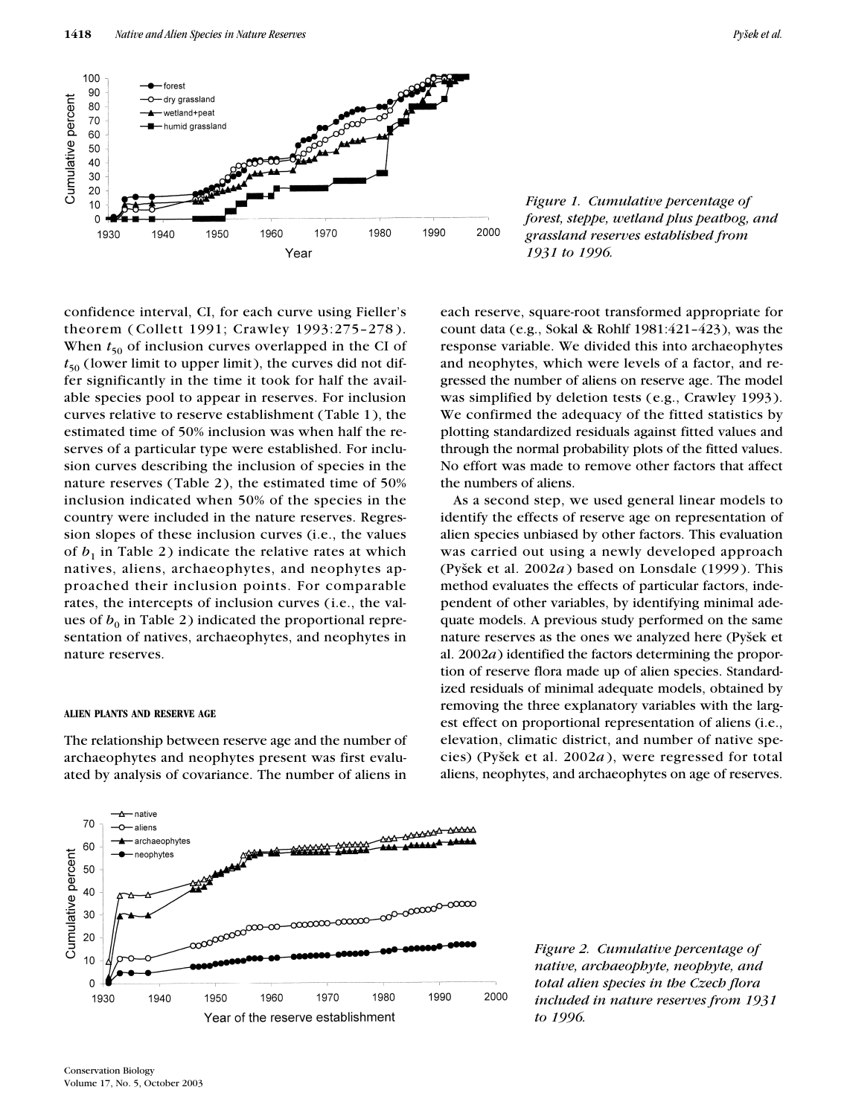

*Figure 1. Cumulative percentage of forest, steppe, wetland plus peatbog, and grassland reserves established from 1931 to 1996.*

confidence interval, CI, for each curve using Fieller's theorem ( Collett 1991; Crawley 1993:275–278 ). When  $t_{50}$  of inclusion curves overlapped in the CI of  $t_{50}$  (lower limit to upper limit), the curves did not differ significantly in the time it took for half the available species pool to appear in reserves. For inclusion curves relative to reserve establishment (Table 1), the estimated time of 50% inclusion was when half the reserves of a particular type were established. For inclusion curves describing the inclusion of species in the nature reserves (Table 2), the estimated time of 50% inclusion indicated when 50% of the species in the country were included in the nature reserves. Regression slopes of these inclusion curves (i.e., the values of  $b_1$  in Table 2) indicate the relative rates at which natives, aliens, archaeophytes, and neophytes approached their inclusion points. For comparable rates, the intercepts of inclusion curves (i.e., the values of  $b_0$  in Table 2) indicated the proportional representation of natives, archaeophytes, and neophytes in nature reserves.

### **ALIEN PLANTS AND RESERVE AGE**

The relationship between reserve age and the number of archaeophytes and neophytes present was first evaluated by analysis of covariance. The number of aliens in

 $\rightarrow$ - native 70 **AN ANNA ANN**  $-$ O $-$ aliens - archaeophytes 60 Cumulative percent - neophytes 50 40 -<sub>೦೦</sub>೦-<sub>೦</sub>೦೦೦೦೦-೦೦೦೦ 30 -∞∞∞-∞∞∞ ∞∞∞∞∞ 20  $10$ O 2000 1940 1950 1960 1970 1980 1990 1930

Year of the reserve establishment

each reserve, square-root transformed appropriate for count data (e.g., Sokal & Rohlf 1981:421–423), was the response variable. We divided this into archaeophytes and neophytes, which were levels of a factor, and regressed the number of aliens on reserve age. The model was simplified by deletion tests (e.g., Crawley 1993). We confirmed the adequacy of the fitted statistics by plotting standardized residuals against fitted values and through the normal probability plots of the fitted values. No effort was made to remove other factors that affect the numbers of aliens.

As a second step, we used general linear models to identify the effects of reserve age on representation of alien species unbiased by other factors. This evaluation was carried out using a newly developed approach (Pyšek et al. 2002*a*) based on Lonsdale (1999). This method evaluates the effects of particular factors, independent of other variables, by identifying minimal adequate models. A previous study performed on the same nature reserves as the ones we analyzed here (Pyšek et al. 2002*a*) identified the factors determining the proportion of reserve flora made up of alien species. Standardized residuals of minimal adequate models, obtained by removing the three explanatory variables with the largest effect on proportional representation of aliens (i.e., elevation, climatic district, and number of native species) (Pyšek et al. 2002*a*), were regressed for total aliens, neophytes, and archaeophytes on age of reserves.

*Figure 2. Cumulative percentage of native, archaeophyte, neophyte, and total alien species in the Czech flora included in nature reserves from 1931 to 1996.*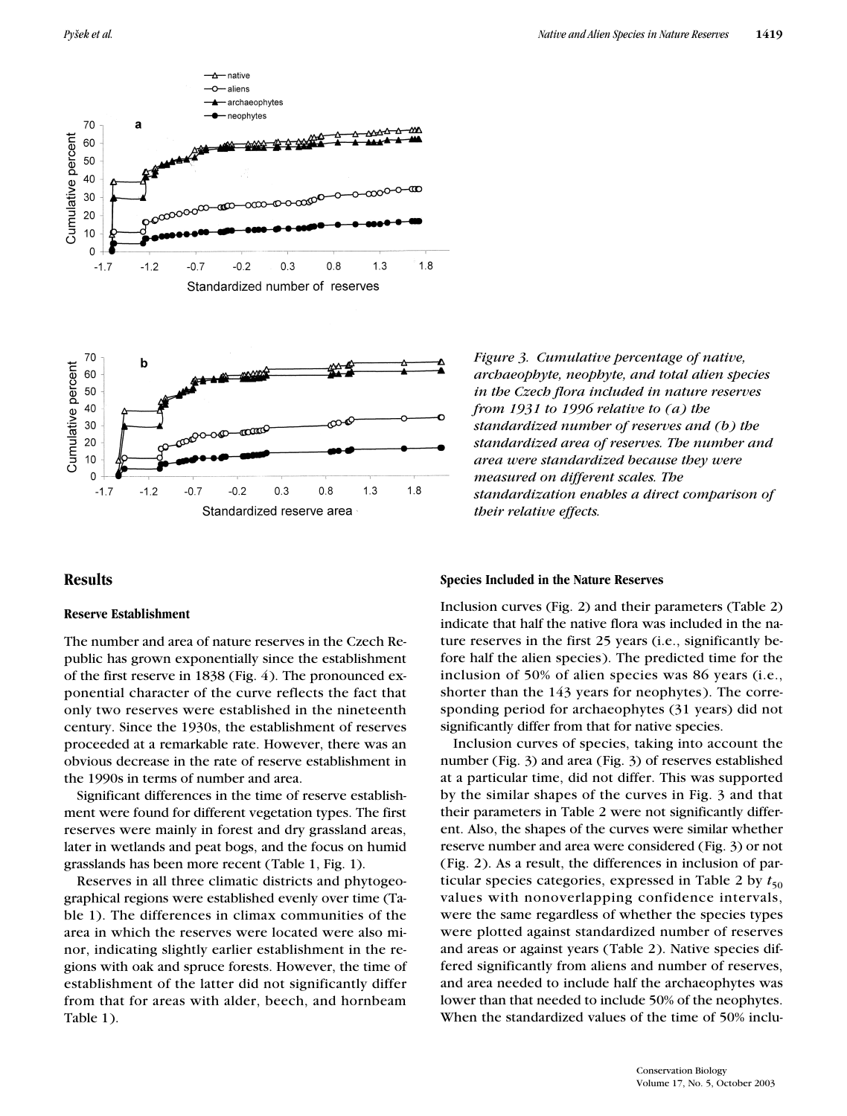

## **Results**

## **Reserve Establishment**

The number and area of nature reserves in the Czech Republic has grown exponentially since the establishment of the first reserve in 1838 (Fig. 4). The pronounced exponential character of the curve reflects the fact that only two reserves were established in the nineteenth century. Since the 1930s, the establishment of reserves proceeded at a remarkable rate. However, there was an obvious decrease in the rate of reserve establishment in the 1990s in terms of number and area.

Significant differences in the time of reserve establishment were found for different vegetation types. The first reserves were mainly in forest and dry grassland areas, later in wetlands and peat bogs, and the focus on humid grasslands has been more recent (Table 1, Fig. 1).

Reserves in all three climatic districts and phytogeographical regions were established evenly over time (Table 1). The differences in climax communities of the area in which the reserves were located were also minor, indicating slightly earlier establishment in the regions with oak and spruce forests. However, the time of establishment of the latter did not significantly differ from that for areas with alder, beech, and hornbeam Table 1).

*Figure 3. Cumulative percentage of native, archaeophyte, neophyte, and total alien species in the Czech flora included in nature reserves from 1931 to 1996 relative to (a) the standardized number of reserves and (b) the standardized area of reserves. The number and area were standardized because they were measured on different scales. The standardization enables a direct comparison of their relative effects.*

#### **Species Included in the Nature Reserves**

Inclusion curves (Fig. 2) and their parameters (Table 2) indicate that half the native flora was included in the nature reserves in the first 25 years (i.e., significantly before half the alien species). The predicted time for the inclusion of 50% of alien species was 86 years (i.e., shorter than the 143 years for neophytes). The corresponding period for archaeophytes (31 years) did not significantly differ from that for native species.

Inclusion curves of species, taking into account the number (Fig. 3) and area (Fig. 3) of reserves established at a particular time, did not differ. This was supported by the similar shapes of the curves in Fig. 3 and that their parameters in Table 2 were not significantly different. Also, the shapes of the curves were similar whether reserve number and area were considered (Fig. 3) or not (Fig. 2). As a result, the differences in inclusion of particular species categories, expressed in Table 2 by  $t_{50}$ values with nonoverlapping confidence intervals, were the same regardless of whether the species types were plotted against standardized number of reserves and areas or against years (Table 2). Native species differed significantly from aliens and number of reserves, and area needed to include half the archaeophytes was lower than that needed to include 50% of the neophytes. When the standardized values of the time of 50% inclu-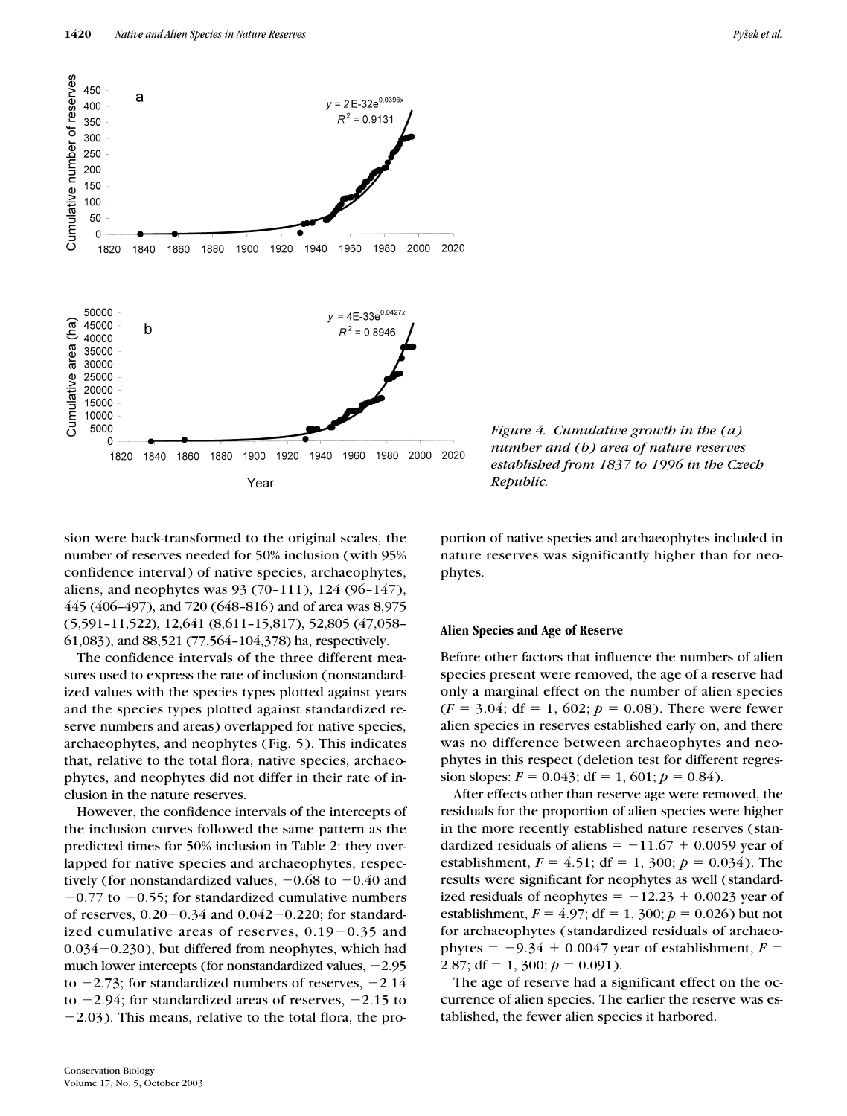

*Figure 4. Cumulative growth in the (a) number and (b) area of nature reserves established from 1837 to 1996 in the Czech Republic.*

sion were back-transformed to the original scales, the number of reserves needed for 50% inclusion (with 95% confidence interval) of native species, archaeophytes, aliens, and neophytes was 93 (70–111), 124 (96–147), 445 (406–497), and 720 (648–816) and of area was 8,975 (5,591–11,522), 12,641 (8,611–15,817), 52,805 (47,058– 61,083), and 88,521 (77,564–104,378) ha, respectively.

The confidence intervals of the three different measures used to express the rate of inclusion (nonstandardized values with the species types plotted against years and the species types plotted against standardized reserve numbers and areas) overlapped for native species, archaeophytes, and neophytes (Fig. 5). This indicates that, relative to the total flora, native species, archaeophytes, and neophytes did not differ in their rate of inclusion in the nature reserves.

However, the confidence intervals of the intercepts of the inclusion curves followed the same pattern as the predicted times for 50% inclusion in Table 2: they overlapped for native species and archaeophytes, respectively (for nonstandardized values,  $-0.68$  to  $-0.40$  and  $-0.77$  to  $-0.55$ ; for standardized cumulative numbers of reserves,  $0.20 - 0.34$  and  $0.042 - 0.220$ ; for standardized cumulative areas of reserves,  $0.19-0.35$  and  $0.034-0.230$ , but differed from neophytes, which had much lower intercepts (for nonstandardized values,  $-2.95$ to  $-2.73$ ; for standardized numbers of reserves,  $-2.14$ to  $-2.94$ ; for standardized areas of reserves,  $-2.15$  to  $-2.03$ ). This means, relative to the total flora, the pro-

Conservation Biology Volume 17, No. 5, October 2003

portion of native species and archaeophytes included in nature reserves was significantly higher than for neophytes.

#### **Alien Species and Age of Reserve**

Before other factors that influence the numbers of alien species present were removed, the age of a reserve had only a marginal effect on the number of alien species  $(F = 3.04; df = 1, 602; p = 0.08)$ . There were fewer alien species in reserves established early on, and there was no difference between archaeophytes and neophytes in this respect (deletion test for different regression slopes:  $F = 0.043$ ; df = 1, 601;  $p = 0.84$ ).

After effects other than reserve age were removed, the residuals for the proportion of alien species were higher in the more recently established nature reserves (standardized residuals of aliens  $= -11.67 + 0.0059$  year of establishment,  $F = 4.51$ ; df = 1, 300;  $p = 0.034$ ). The results were significant for neophytes as well (standardized residuals of neophytes  $= -12.23 + 0.0023$  year of establishment,  $F = 4.97$ ; df = 1, 300;  $p = 0.026$ ) but not for archaeophytes (standardized residuals of archaeophytes  $= -9.34 + 0.0047$  year of establishment,  $F =$ 2.87; df = 1, 300;  $p = 0.091$ ).

The age of reserve had a significant effect on the occurrence of alien species. The earlier the reserve was established, the fewer alien species it harbored.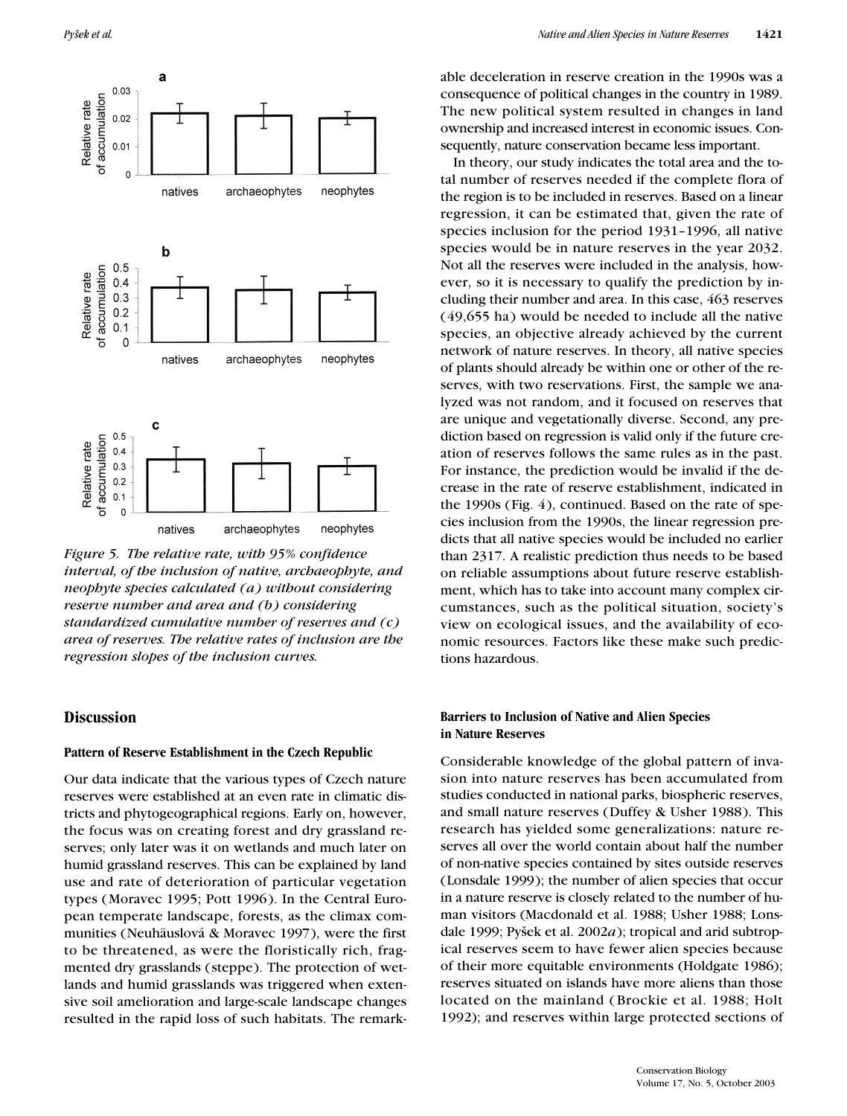

*Figure 5. The relative rate, with 95% confidence interval, of the inclusion of native, archaeophyte, and neophyte species calculated (a) without considering reserve number and area and (b) considering standardized cumulative number of reserves and (c) area of reserves. The relative rates of inclusion are the regression slopes of the inclusion curves.*

## **Discussion**

#### **Pattern of Reserve Establishment in the Czech Republic**

Our data indicate that the various types of Czech nature reserves were established at an even rate in climatic districts and phytogeographical regions. Early on, however, the focus was on creating forest and dry grassland reserves; only later was it on wetlands and much later on humid grassland reserves. This can be explained by land use and rate of deterioration of particular vegetation types (Moravec 1995; Pott 1996). In the Central European temperate landscape, forests, as the climax communities (Neuhäuslová & Moravec 1997), were the first to be threatened, as were the floristically rich, fragmented dry grasslands (steppe). The protection of wetlands and humid grasslands was triggered when extensive soil amelioration and large-scale landscape changes resulted in the rapid loss of such habitats. The remarkable deceleration in reserve creation in the 1990s was a consequence of political changes in the country in 1989. The new political system resulted in changes in land ownership and increased interest in economic issues. Consequently, nature conservation became less important.

In theory, our study indicates the total area and the total number of reserves needed if the complete flora of the region is to be included in reserves. Based on a linear regression, it can be estimated that, given the rate of species inclusion for the period 1931–1996, all native species would be in nature reserves in the year 2032. Not all the reserves were included in the analysis, however, so it is necessary to qualify the prediction by including their number and area. In this case, 463 reserves (49,655 ha) would be needed to include all the native species, an objective already achieved by the current network of nature reserves. In theory, all native species of plants should already be within one or other of the reserves, with two reservations. First, the sample we analyzed was not random, and it focused on reserves that are unique and vegetationally diverse. Second, any prediction based on regression is valid only if the future creation of reserves follows the same rules as in the past. For instance, the prediction would be invalid if the decrease in the rate of reserve establishment, indicated in the 1990s (Fig. 4), continued. Based on the rate of species inclusion from the 1990s, the linear regression predicts that all native species would be included no earlier than 2317. A realistic prediction thus needs to be based on reliable assumptions about future reserve establishment, which has to take into account many complex circumstances, such as the political situation, society's view on ecological issues, and the availability of economic resources. Factors like these make such predictions hazardous.

## **Barriers to Inclusion of Native and Alien Species in Nature Reserves**

Considerable knowledge of the global pattern of invasion into nature reserves has been accumulated from studies conducted in national parks, biospheric reserves, and small nature reserves (Duffey & Usher 1988). This research has yielded some generalizations: nature reserves all over the world contain about half the number of non-native species contained by sites outside reserves (Lonsdale 1999); the number of alien species that occur in a nature reserve is closely related to the number of human visitors (Macdonald et al. 1988; Usher 1988; Lonsdale 1999; Pyšek et al. 2002a); tropical and arid subtropical reserves seem to have fewer alien species because of their more equitable environments (Holdgate 1986); reserves situated on islands have more aliens than those located on the mainland (Brockie et al. 1988; Holt 1992); and reserves within large protected sections of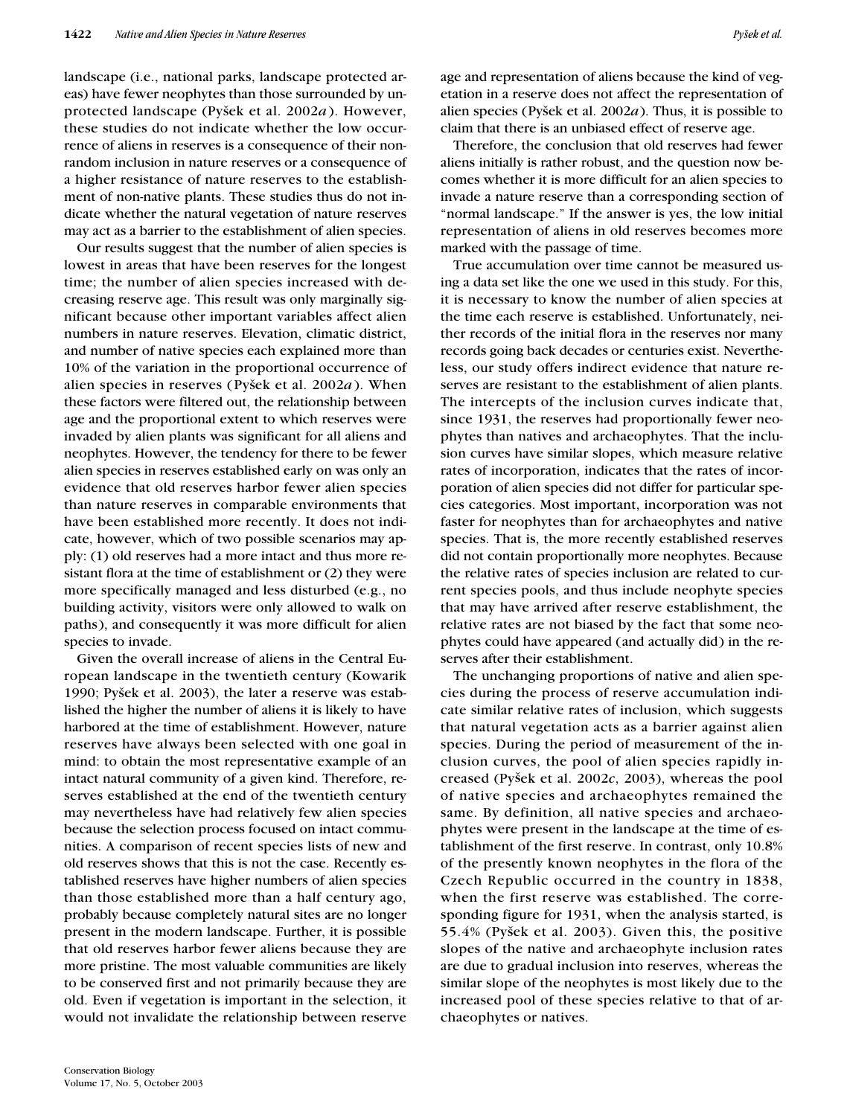landscape (i.e., national parks, landscape protected areas) have fewer neophytes than those surrounded by unprotected landscape (Pyšek et al. 2002a). However, these studies do not indicate whether the low occurrence of aliens in reserves is a consequence of their nonrandom inclusion in nature reserves or a consequence of a higher resistance of nature reserves to the establishment of non-native plants. These studies thus do not indicate whether the natural vegetation of nature reserves may act as a barrier to the establishment of alien species.

Our results suggest that the number of alien species is lowest in areas that have been reserves for the longest time; the number of alien species increased with decreasing reserve age. This result was only marginally significant because other important variables affect alien numbers in nature reserves. Elevation, climatic district, and number of native species each explained more than 10% of the variation in the proportional occurrence of alien species in reserves (Pyšek et al. 2002*a*). When these factors were filtered out, the relationship between age and the proportional extent to which reserves were invaded by alien plants was significant for all aliens and neophytes. However, the tendency for there to be fewer alien species in reserves established early on was only an evidence that old reserves harbor fewer alien species than nature reserves in comparable environments that have been established more recently. It does not indicate, however, which of two possible scenarios may apply: (1) old reserves had a more intact and thus more resistant flora at the time of establishment or (2) they were more specifically managed and less disturbed (e.g., no building activity, visitors were only allowed to walk on paths), and consequently it was more difficult for alien species to invade.

Given the overall increase of aliens in the Central European landscape in the twentieth century (Kowarik 1990; Pyšek et al. 2003), the later a reserve was established the higher the number of aliens it is likely to have harbored at the time of establishment. However, nature reserves have always been selected with one goal in mind: to obtain the most representative example of an intact natural community of a given kind. Therefore, reserves established at the end of the twentieth century may nevertheless have had relatively few alien species because the selection process focused on intact communities. A comparison of recent species lists of new and old reserves shows that this is not the case. Recently established reserves have higher numbers of alien species than those established more than a half century ago, probably because completely natural sites are no longer present in the modern landscape. Further, it is possible that old reserves harbor fewer aliens because they are more pristine. The most valuable communities are likely to be conserved first and not primarily because they are old. Even if vegetation is important in the selection, it would not invalidate the relationship between reserve

age and representation of aliens because the kind of vegetation in a reserve does not affect the representation of alien species (Pyšek et al. 2002*a*). Thus, it is possible to claim that there is an unbiased effect of reserve age.

Therefore, the conclusion that old reserves had fewer aliens initially is rather robust, and the question now becomes whether it is more difficult for an alien species to invade a nature reserve than a corresponding section of "normal landscape." If the answer is yes, the low initial representation of aliens in old reserves becomes more marked with the passage of time.

True accumulation over time cannot be measured using a data set like the one we used in this study. For this, it is necessary to know the number of alien species at the time each reserve is established. Unfortunately, neither records of the initial flora in the reserves nor many records going back decades or centuries exist. Nevertheless, our study offers indirect evidence that nature reserves are resistant to the establishment of alien plants. The intercepts of the inclusion curves indicate that, since 1931, the reserves had proportionally fewer neophytes than natives and archaeophytes. That the inclusion curves have similar slopes, which measure relative rates of incorporation, indicates that the rates of incorporation of alien species did not differ for particular species categories. Most important, incorporation was not faster for neophytes than for archaeophytes and native species. That is, the more recently established reserves did not contain proportionally more neophytes. Because the relative rates of species inclusion are related to current species pools, and thus include neophyte species that may have arrived after reserve establishment, the relative rates are not biased by the fact that some neophytes could have appeared (and actually did) in the reserves after their establishment.

The unchanging proportions of native and alien species during the process of reserve accumulation indicate similar relative rates of inclusion, which suggests that natural vegetation acts as a barrier against alien species. During the period of measurement of the inclusion curves, the pool of alien species rapidly increased (Pyšek et al. 2002c, 2003), whereas the pool of native species and archaeophytes remained the same. By definition, all native species and archaeophytes were present in the landscape at the time of establishment of the first reserve. In contrast, only 10.8% of the presently known neophytes in the flora of the Czech Republic occurred in the country in 1838, when the first reserve was established. The corresponding figure for 1931, when the analysis started, is 55.4% (Pyšek et al. 2003). Given this, the positive slopes of the native and archaeophyte inclusion rates are due to gradual inclusion into reserves, whereas the similar slope of the neophytes is most likely due to the increased pool of these species relative to that of archaeophytes or natives.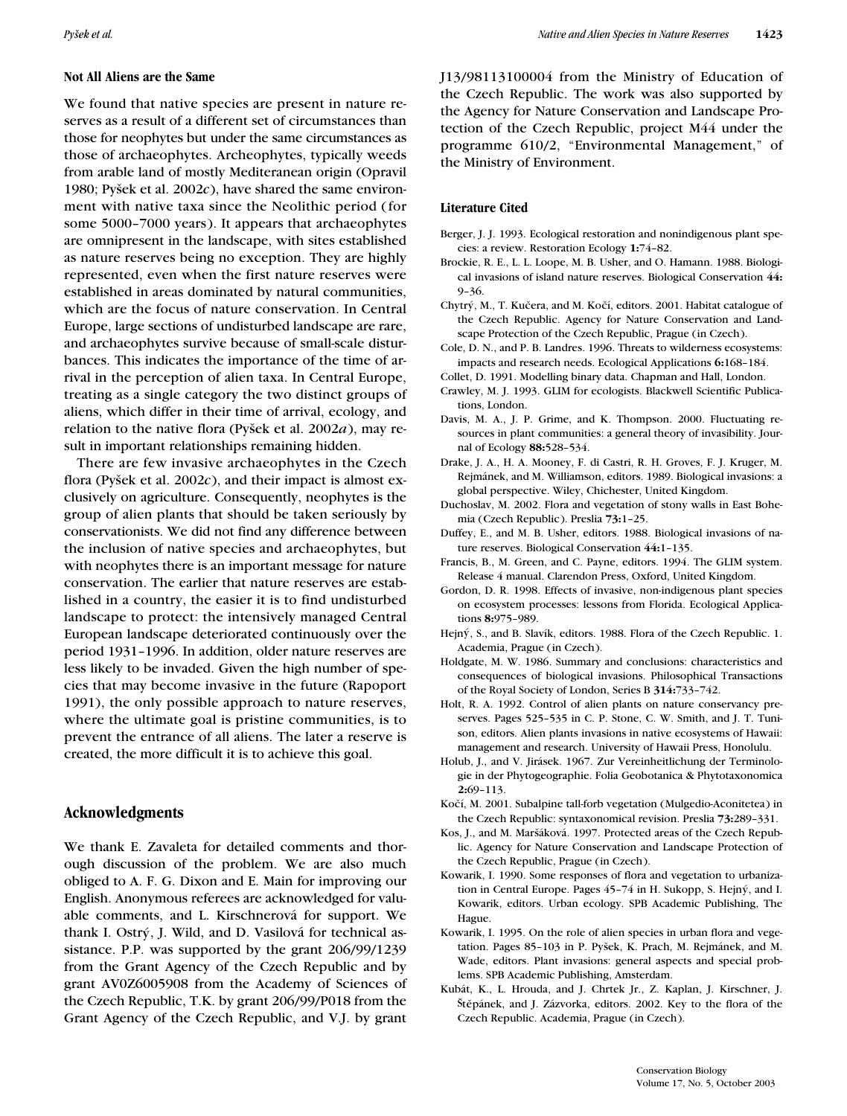## **Not All Aliens are the Same**

We found that native species are present in nature reserves as a result of a different set of circumstances than those for neophytes but under the same circumstances as those of archaeophytes. Archeophytes, typically weeds from arable land of mostly Mediteranean origin (Opravil 1980; Pyšek et al. 2002c), have shared the same environment with native taxa since the Neolithic period (for some 5000–7000 years). It appears that archaeophytes are omnipresent in the landscape, with sites established as nature reserves being no exception. They are highly represented, even when the first nature reserves were established in areas dominated by natural communities, which are the focus of nature conservation. In Central Europe, large sections of undisturbed landscape are rare, and archaeophytes survive because of small-scale disturbances. This indicates the importance of the time of arrival in the perception of alien taxa. In Central Europe, treating as a single category the two distinct groups of aliens, which differ in their time of arrival, ecology, and relation to the native flora (Pyšek et al. 2002a), may result in important relationships remaining hidden.

There are few invasive archaeophytes in the Czech flora (Pyšek et al.  $2002c$ ), and their impact is almost exclusively on agriculture. Consequently, neophytes is the group of alien plants that should be taken seriously by conservationists. We did not find any difference between the inclusion of native species and archaeophytes, but with neophytes there is an important message for nature conservation. The earlier that nature reserves are established in a country, the easier it is to find undisturbed landscape to protect: the intensively managed Central European landscape deteriorated continuously over the period 1931–1996. In addition, older nature reserves are less likely to be invaded. Given the high number of species that may become invasive in the future (Rapoport 1991), the only possible approach to nature reserves, where the ultimate goal is pristine communities, is to prevent the entrance of all aliens. The later a reserve is created, the more difficult it is to achieve this goal.

## **Acknowledgments**

We thank E. Zavaleta for detailed comments and thorough discussion of the problem. We are also much obliged to A. F. G. Dixon and E. Main for improving our English. Anonymous referees are acknowledged for valuable comments, and L. Kirschnerová for support. We thank I. Ostrý, J. Wild, and D. Vasilová for technical assistance. P.P. was supported by the grant 206/99/1239 from the Grant Agency of the Czech Republic and by grant AV0Z6005908 from the Academy of Sciences of the Czech Republic, T.K. by grant 206/99/P018 from the Grant Agency of the Czech Republic, and V.J. by grant J13/98113100004 from the Ministry of Education of the Czech Republic. The work was also supported by the Agency for Nature Conservation and Landscape Protection of the Czech Republic, project M44 under the programme 610/2, "Environmental Management," of the Ministry of Environment.

#### **Literature Cited**

- Berger, J. J. 1993. Ecological restoration and nonindigenous plant species: a review. Restoration Ecology **1:**74–82.
- Brockie, R. E., L. L. Loope, M. B. Usher, and O. Hamann. 1988. Biological invasions of island nature reserves. Biological Conservation **44:** 9–36.
- Chytrý, M., T. Kučera, and M. Kočí, editors. 2001. Habitat catalogue of the Czech Republic. Agency for Nature Conservation and Landscape Protection of the Czech Republic, Prague (in Czech).
- Cole, D. N., and P. B. Landres. 1996. Threats to wilderness ecosystems: impacts and research needs. Ecological Applications **6:**168–184.
- Collet, D. 1991. Modelling binary data. Chapman and Hall, London.
- Crawley, M. J. 1993. GLIM for ecologists. Blackwell Scientific Publications, London.
- Davis, M. A., J. P. Grime, and K. Thompson. 2000. Fluctuating resources in plant communities: a general theory of invasibility. Journal of Ecology **88:**528–534.
- Drake, J. A., H. A. Mooney, F. di Castri, R. H. Groves, F. J. Kruger, M. Rejmánek, and M. Williamson, editors. 1989. Biological invasions: a global perspective. Wiley, Chichester, United Kingdom.
- Duchoslav, M. 2002. Flora and vegetation of stony walls in East Bohemia (Czech Republic). Preslia **73:**1–25.
- Duffey, E., and M. B. Usher, editors. 1988. Biological invasions of nature reserves. Biological Conservation **44:**1–135.
- Francis, B., M. Green, and C. Payne, editors. 1994. The GLIM system. Release 4 manual. Clarendon Press, Oxford, United Kingdom.
- Gordon, D. R. 1998. Effects of invasive, non-indigenous plant species on ecosystem processes: lessons from Florida. Ecological Applications **8:**975–989.
- Hejný, S., and B. Slavík, editors. 1988. Flora of the Czech Republic. 1. Academia, Prague (in Czech).
- Holdgate, M. W. 1986. Summary and conclusions: characteristics and consequences of biological invasions. Philosophical Transactions of the Royal Society of London, Series B **314:**733–742.
- Holt, R. A. 1992. Control of alien plants on nature conservancy preserves. Pages 525–535 in C. P. Stone, C. W. Smith, and J. T. Tunison, editors. Alien plants invasions in native ecosystems of Hawaii: management and research. University of Hawaii Press, Honolulu.
- Holub, J., and V. Jirásek. 1967. Zur Vereinheitlichung der Terminologie in der Phytogeographie. Folia Geobotanica & Phytotaxonomica **2:**69–113.
- Kočí, M. 2001. Subalpine tall-forb vegetation (Mulgedio-Aconitetea) in the Czech Republic: syntaxonomical revision. Preslia **73:**289–331.
- Kos, J., and M. Maršáková. 1997. Protected areas of the Czech Republic. Agency for Nature Conservation and Landscape Protection of the Czech Republic, Prague (in Czech).
- Kowarik, I. 1990. Some responses of flora and vegetation to urbanization in Central Europe. Pages 45-74 in H. Sukopp, S. Hejný, and I. Kowarik, editors. Urban ecology. SPB Academic Publishing, The Hague.
- Kowarik, I. 1995. On the role of alien species in urban flora and vegetation. Pages 85-103 in P. Pyšek, K. Prach, M. Rejmánek, and M. Wade, editors. Plant invasions: general aspects and special problems. SPB Academic Publishing, Amsterdam.
- Kubát, K., L. Hrouda, and J. Chrtek Jr., Z. Kaplan, J. Kirschner, J. Štěpánek, and J. Zázvorka, editors. 2002. Key to the flora of the Czech Republic. Academia, Prague (in Czech).